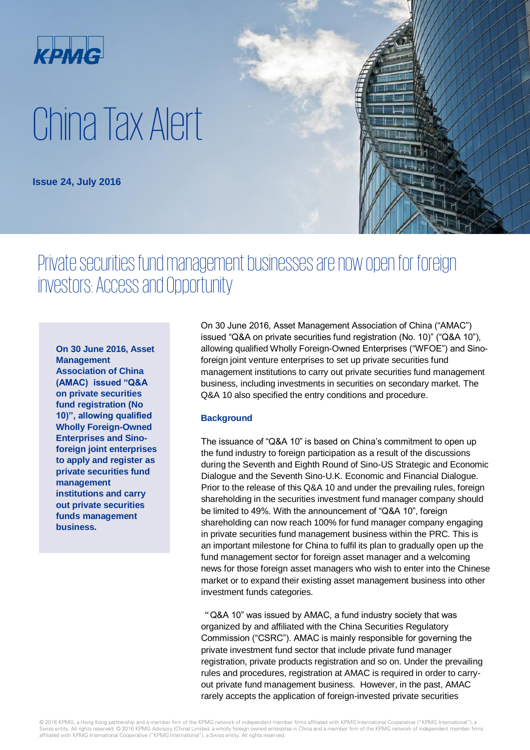

# China Tax Alert

**Issue 24, July 2016**

## Private securities fund management businesses are now open for foreign investors: Access and Opportunity

**On 30 June 2016, Asset Management Association of China (AMAC) issued "Q&A on private securities fund registration (No 10)", allowing qualified Wholly Foreign-Owned Enterprises and Sinoforeign joint enterprises to apply and register as private securities fund management institutions and carry out private securities funds management business.**

On 30 June 2016, Asset Management Association of China ("AMAC") issued "Q&A on private securities fund registration (No. 10)" ("Q&A 10"), allowing qualified Wholly Foreign-Owned Enterprises ("WFOE") and Sinoforeign joint venture enterprises to set up private securities fund management institutions to carry out private securities fund management business, including investments in securities on secondary market. The Q&A 10 also specified the entry conditions and procedure.

#### **Background**

The issuance of "Q&A 10" is based on China's commitment to open up the fund industry to foreign participation as a result of the discussions during the Seventh and Eighth Round of Sino-US Strategic and Economic Dialogue and the Seventh Sino-U.K. Economic and Financial Dialogue. Prior to the release of this Q&A 10 and under the prevailing rules, foreign shareholding in the securities investment fund manager company should be limited to 49%. With the announcement of "Q&A 10", foreign shareholding can now reach 100% for fund manager company engaging in private securities fund management business within the PRC. This is an important milestone for China to fulfil its plan to gradually open up the fund management sector for foreign asset manager and a welcoming news for those foreign asset managers who wish to enter into the Chinese market or to expand their existing asset management business into other investment funds categories.

"Q&A 10" was issued by AMAC, a fund industry society that was organized by and affiliated with the China Securities Regulatory Commission ("CSRC"). AMAC is mainly responsible for governing the private investment fund sector that include private fund manager registration, private products registration and so on. Under the prevailing rules and procedures, registration at AMAC is required in order to carryout private fund management business. However, in the past, AMAC rarely accepts the application of foreign-invested private securities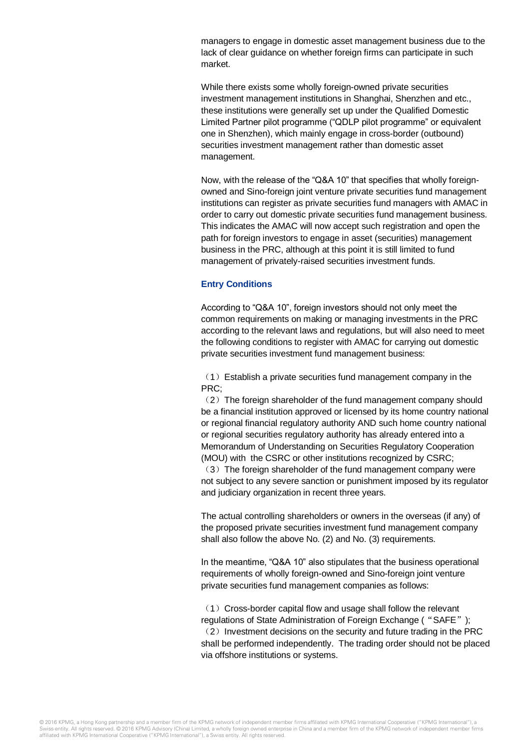managers to engage in domestic asset management business due to the lack of clear guidance on whether foreign firms can participate in such market.

While there exists some wholly foreign-owned private securities investment management institutions in Shanghai, Shenzhen and etc., these institutions were generally set up under the Qualified Domestic Limited Partner pilot programme ("QDLP pilot programme" or equivalent one in Shenzhen), which mainly engage in cross-border (outbound) securities investment management rather than domestic asset management.

Now, with the release of the "Q&A 10" that specifies that wholly foreignowned and Sino-foreign joint venture private securities fund management institutions can register as private securities fund managers with AMAC in order to carry out domestic private securities fund management business. This indicates the AMAC will now accept such registration and open the path for foreign investors to engage in asset (securities) management business in the PRC, although at this point it is still limited to fund management of privately-raised securities investment funds.

#### **Entry Conditions**

According to "Q&A 10", foreign investors should not only meet the common requirements on making or managing investments in the PRC according to the relevant laws and regulations, but will also need to meet the following conditions to register with AMAC for carrying out domestic private securities investment fund management business:

 $(1)$  Establish a private securities fund management company in the PRC;

(2) The foreign shareholder of the fund management company should be a financial institution approved or licensed by its home country national or regional financial regulatory authority AND such home country national or regional securities regulatory authority has already entered into a Memorandum of Understanding on Securities Regulatory Cooperation (MOU) with the CSRC or other institutions recognized by CSRC;

 $(3)$  The foreign shareholder of the fund management company were not subject to any severe sanction or punishment imposed by its regulator and judiciary organization in recent three years.

The actual controlling shareholders or owners in the overseas (if any) of the proposed private securities investment fund management company shall also follow the above No. (2) and No. (3) requirements.

In the meantime, "Q&A 10" also stipulates that the business operational requirements of wholly foreign-owned and Sino-foreign joint venture private securities fund management companies as follows:

(1) Cross-border capital flow and usage shall follow the relevant regulations of State Administration of Foreign Exchange ( "SAFE");  $(2)$  Investment decisions on the security and future trading in the PRC shall be performed independently. The trading order should not be placed via offshore institutions or systems.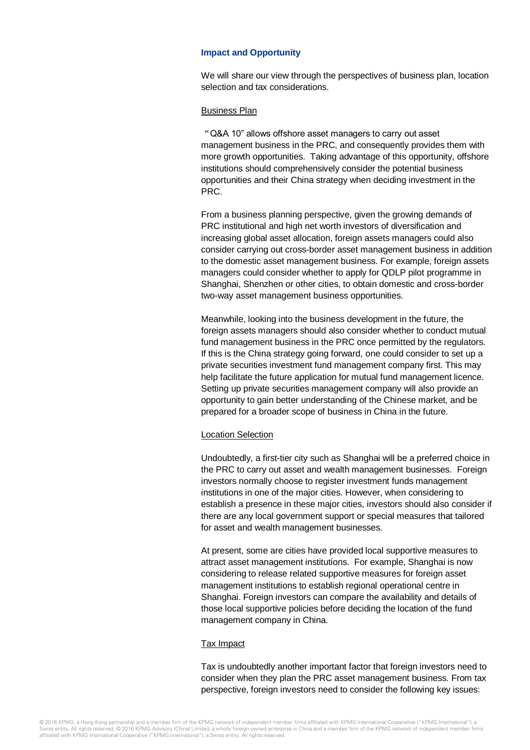#### **Impact and Opportunity**

We will share our view through the perspectives of business plan, location selection and tax considerations.

#### Business Plan

"Q&A 10" allows offshore asset managers to carry out asset management business in the PRC, and consequently provides them with more growth opportunities. Taking advantage of this opportunity, offshore institutions should comprehensively consider the potential business opportunities and their China strategy when deciding investment in the PRC.

From a business planning perspective, given the growing demands of PRC institutional and high net worth investors of diversification and increasing global asset allocation, foreign assets managers could also consider carrying out cross-border asset management business in addition to the domestic asset management business. For example, foreign assets managers could consider whether to apply for QDLP pilot programme in Shanghai, Shenzhen or other cities, to obtain domestic and cross-border two-way asset management business opportunities.

Meanwhile, looking into the business development in the future, the foreign assets managers should also consider whether to conduct mutual fund management business in the PRC once permitted by the regulators. If this is the China strategy going forward, one could consider to set up a private securities investment fund management company first. This may help facilitate the future application for mutual fund management licence. Setting up private securities management company will also provide an opportunity to gain better understanding of the Chinese market, and be prepared for a broader scope of business in China in the future.

#### Location Selection

Undoubtedly, a first-tier city such as Shanghai will be a preferred choice in the PRC to carry out asset and wealth management businesses. Foreign investors normally choose to register investment funds management institutions in one of the major cities. However, when considering to establish a presence in these major cities, investors should also consider if there are any local government support or special measures that tailored for asset and wealth management businesses.

At present, some are cities have provided local supportive measures to attract asset management institutions. For example, Shanghai is now considering to release related supportive measures for foreign asset management institutions to establish regional operational centre in Shanghai. Foreign investors can compare the availability and details of those local supportive policies before deciding the location of the fund management company in China.

#### Tax Impact

Tax is undoubtedly another important factor that foreign investors need to consider when they plan the PRC asset management business. From tax perspective, foreign investors need to consider the following key issues: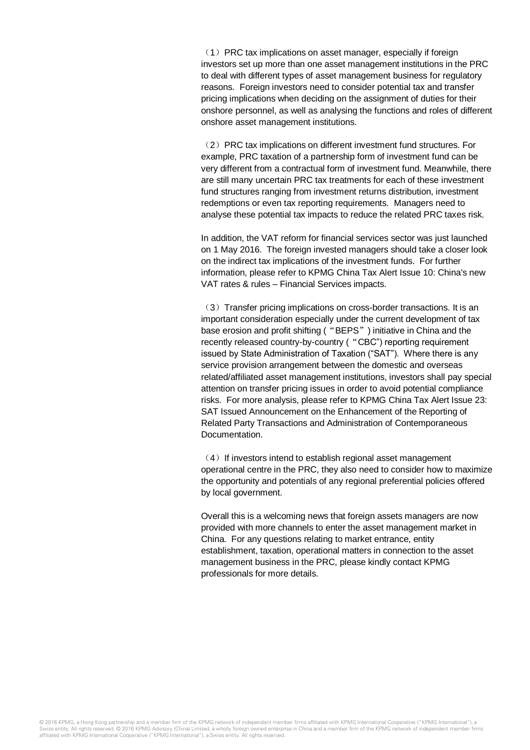(1) PRC tax implications on asset manager, especially if foreign investors set up more than one asset management institutions in the PRC to deal with different types of asset management business for regulatory reasons. Foreign investors need to consider potential tax and transfer pricing implications when deciding on the assignment of duties for their onshore personnel, as well as analysing the functions and roles of different onshore asset management institutions.

(2) PRC tax implications on different investment fund structures. For example, PRC taxation of a partnership form of investment fund can be very different from a contractual form of investment fund. Meanwhile, there are still many uncertain PRC tax treatments for each of these investment fund structures ranging from investment returns distribution, investment redemptions or even tax reporting requirements. Managers need to analyse these potential tax impacts to reduce the related PRC taxes risk.

In addition, the VAT reform for financial services sector was just launched on 1 May 2016. The foreign invested managers should take a closer look on the indirect tax implications of the investment funds. For further information, please refer to KPMG China Tax Alert Issue 10: China's new VAT rates & rules – Financial Services impacts.

(3) Transfer pricing implications on cross-border transactions. It is an important consideration especially under the current development of tax base erosion and profit shifting ("BEPS") initiative in China and the recently released country-by-country ("CBC") reporting requirement issued by State Administration of Taxation ("SAT"). Where there is any service provision arrangement between the domestic and overseas related/affiliated asset management institutions, investors shall pay special attention on transfer pricing issues in order to avoid potential compliance risks. For more analysis, please refer to KPMG China Tax Alert Issue 23: SAT Issued Announcement on the Enhancement of the Reporting of Related Party Transactions and Administration of Contemporaneous Documentation.

 $(4)$  If investors intend to establish regional asset management operational centre in the PRC, they also need to consider how to maximize the opportunity and potentials of any regional preferential policies offered by local government.

Overall this is a welcoming news that foreign assets managers are now provided with more channels to enter the asset management market in China. For any questions relating to market entrance, entity establishment, taxation, operational matters in connection to the asset management business in the PRC, please kindly contact KPMG professionals for more details.